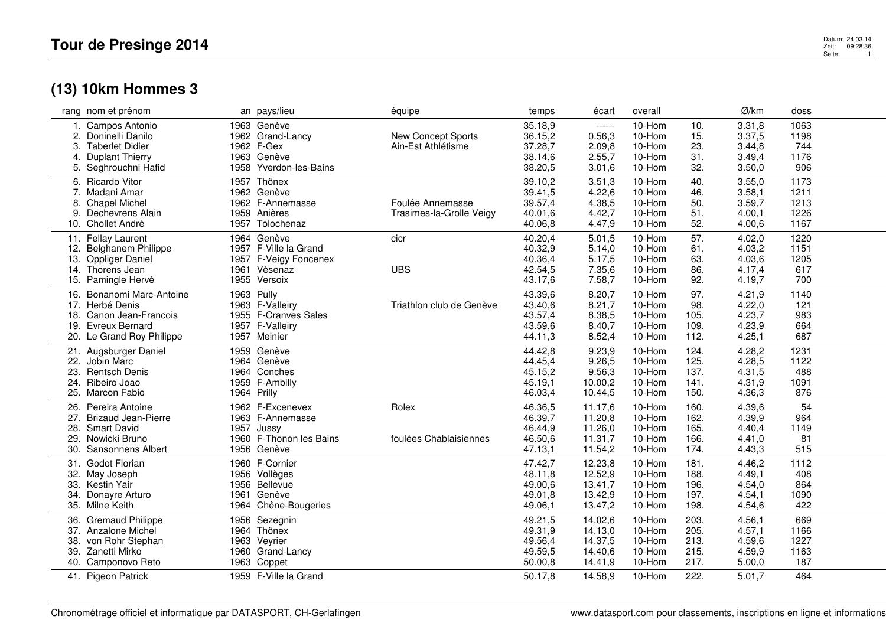## **(13) 10km Hommes 3**

|     | rang nom et prénom        |      | an pays/lieu            | équipe                    | temps   | écart   | overall |      | Ø/km   | doss |  |
|-----|---------------------------|------|-------------------------|---------------------------|---------|---------|---------|------|--------|------|--|
|     | 1. Campos Antonio         |      | 1963 Genève             |                           | 35.18,9 | ------  | 10-Hom  | 10.  | 3.31,8 | 1063 |  |
|     | 2. Doninelli Danilo       |      | 1962 Grand-Lancy        | <b>New Concept Sports</b> | 36.15,2 | 0.56,3  | 10-Hom  | 15.  | 3.37,5 | 1198 |  |
| 3.  | <b>Taberlet Didier</b>    |      | 1962 F-Gex              | Ain-Est Athlétisme        | 37.28,7 | 2.09,8  | 10-Hom  | 23.  | 3.44,8 | 744  |  |
|     | 4. Duplant Thierry        |      | 1963 Genève             |                           | 38.14,6 | 2.55,7  | 10-Hom  | 31.  | 3.49,4 | 1176 |  |
|     | 5. Seghrouchni Hafid      |      | 1958 Yverdon-les-Bains  |                           | 38.20,5 | 3.01,6  | 10-Hom  | 32.  | 3.50,0 | 906  |  |
|     |                           |      |                         |                           |         |         |         |      |        |      |  |
|     | 6. Ricardo Vitor          | 1957 | Thônex                  |                           | 39.10,2 | 3.51,3  | 10-Hom  | 40.  | 3.55,0 | 1173 |  |
|     | 7. Madani Amar            |      | 1962 Genève             |                           | 39.41,5 | 4.22,6  | 10-Hom  | 46.  | 3.58,1 | 1211 |  |
| 8.  | <b>Chapel Michel</b>      |      | 1962 F-Annemasse        | Foulée Annemasse          | 39.57,4 | 4.38,5  | 10-Hom  | 50.  | 3.59,7 | 1213 |  |
| 9.  | Dechevrens Alain          |      | 1959 Anières            | Trasimes-la-Grolle Veigy  | 40.01,6 | 4.42,7  | 10-Hom  | 51.  | 4.00,1 | 1226 |  |
|     | 10. Chollet André         |      | 1957 Tolochenaz         |                           | 40.06,8 | 4.47,9  | 10-Hom  | 52.  | 4.00,6 | 1167 |  |
|     | 11. Fellay Laurent        |      | 1964 Genève             | cicr                      | 40.20,4 | 5.01,5  | 10-Hom  | 57.  | 4.02,0 | 1220 |  |
|     | 12. Belghanem Philippe    |      | 1957 F-Ville la Grand   |                           | 40.32,9 | 5.14,0  | 10-Hom  | 61.  | 4.03,2 | 1151 |  |
| 13. | <b>Oppliger Daniel</b>    |      | 1957 F-Veigy Foncenex   |                           | 40.36,4 | 5.17,5  | 10-Hom  | 63.  | 4.03,6 | 1205 |  |
|     | 14. Thorens Jean          |      | 1961 Vésenaz            | <b>UBS</b>                | 42.54,5 | 7.35,6  | 10-Hom  | 86.  | 4.17,4 | 617  |  |
|     | 15. Pamingle Hervé        |      | 1955 Versoix            |                           | 43.17,6 | 7.58,7  | 10-Hom  | 92.  | 4.19,7 | 700  |  |
|     | 16. Bonanomi Marc-Antoine |      | 1963 Pully              |                           | 43.39,6 | 8.20,7  | 10-Hom  | 97.  | 4.21,9 | 1140 |  |
|     | 17. Herbé Denis           |      | 1963 F-Valleiry         | Triathlon club de Genève  | 43.40,6 | 8.21,7  | 10-Hom  | 98.  | 4.22,0 | 121  |  |
|     | 18. Canon Jean-Francois   |      | 1955 F-Cranves Sales    |                           | 43.57,4 | 8.38,5  | 10-Hom  | 105. | 4.23,7 | 983  |  |
|     | 19. Evreux Bernard        |      | 1957 F-Valleiry         |                           | 43.59,6 | 8.40,7  | 10-Hom  | 109. | 4.23,9 | 664  |  |
|     | 20. Le Grand Roy Philippe |      | 1957 Meinier            |                           | 44.11,3 | 8.52,4  | 10-Hom  | 112. | 4.25,1 | 687  |  |
|     |                           |      |                         |                           |         |         |         |      |        |      |  |
|     | 21. Augsburger Daniel     |      | 1959 Genève             |                           | 44.42,8 | 9.23,9  | 10-Hom  | 124. | 4.28,2 | 1231 |  |
| 22. | Jobin Marc                |      | 1964 Genève             |                           | 44.45,4 | 9.26,5  | 10-Hom  | 125. | 4.28,5 | 1122 |  |
| 23. | <b>Rentsch Denis</b>      |      | 1964 Conches            |                           | 45.15,2 | 9.56,3  | 10-Hom  | 137. | 4.31,5 | 488  |  |
| 24. | Ribeiro Joao              |      | 1959 F-Ambilly          |                           | 45.19,1 | 10.00,2 | 10-Hom  | 141. | 4.31,9 | 1091 |  |
|     | 25. Marcon Fabio          |      | 1964 Prilly             |                           | 46.03,4 | 10.44,5 | 10-Hom  | 150. | 4.36,3 | 876  |  |
| 26. | Pereira Antoine           |      | 1962 F-Excenevex        | Rolex                     | 46.36,5 | 11.17,6 | 10-Hom  | 160. | 4.39,6 | 54   |  |
|     | 27. Brizaud Jean-Pierre   |      | 1963 F-Annemasse        |                           | 46.39,7 | 11.20,8 | 10-Hom  | 162. | 4.39,9 | 964  |  |
| 28. | <b>Smart David</b>        |      | 1957 Jussy              |                           | 46.44,9 | 11.26,0 | 10-Hom  | 165. | 4.40,4 | 1149 |  |
| 29. | Nowicki Bruno             |      | 1960 F-Thonon les Bains | foulées Chablaisiennes    | 46.50,6 | 11.31,7 | 10-Hom  | 166. | 4.41,0 | 81   |  |
|     | 30. Sansonnens Albert     |      | 1956 Genève             |                           | 47.13,1 | 11.54,2 | 10-Hom  | 174. | 4.43,3 | 515  |  |
| 31. | Godot Florian             |      | 1960 F-Cornier          |                           | 47.42,7 | 12.23,8 | 10-Hom  | 181. | 4.46,2 | 1112 |  |
| 32. | May Joseph                |      | 1956 Vollèges           |                           | 48.11,8 | 12.52,9 | 10-Hom  | 188. | 4.49,1 | 408  |  |
| 33. | Kestin Yair               |      | 1956 Bellevue           |                           | 49.00,6 | 13.41,7 | 10-Hom  | 196. | 4.54,0 | 864  |  |
| 34. | Donayre Arturo            | 1961 | Genève                  |                           | 49.01,8 | 13.42,9 | 10-Hom  | 197. | 4.54,1 | 1090 |  |
|     | 35. Milne Keith           |      | 1964 Chêne-Bougeries    |                           | 49.06,1 | 13.47,2 | 10-Hom  | 198. | 4.54,6 | 422  |  |
|     | 36. Gremaud Philippe      |      | 1956 Sezegnin           |                           | 49.21,5 | 14.02,6 | 10-Hom  | 203. | 4.56,1 | 669  |  |
|     | 37. Anzalone Michel       |      |                         |                           |         |         |         | 205. |        |      |  |
|     |                           |      | 1964 Thônex             |                           | 49.31,9 | 14.13,0 | 10-Hom  |      | 4.57,1 | 1166 |  |
| 38. | von Rohr Stephan          |      | 1963 Veyrier            |                           | 49.56,4 | 14.37,5 | 10-Hom  | 213. | 4.59,6 | 1227 |  |
|     | 39. Zanetti Mirko         |      | 1960 Grand-Lancy        |                           | 49.59,5 | 14.40,6 | 10-Hom  | 215. | 4.59,9 | 1163 |  |
|     | 40. Camponovo Reto        |      | 1963 Coppet             |                           | 50.00,8 | 14.41,9 | 10-Hom  | 217. | 5.00,0 | 187  |  |
|     | 41. Pigeon Patrick        |      | 1959 F-Ville la Grand   |                           | 50.17,8 | 14.58,9 | 10-Hom  | 222. | 5.01,7 | 464  |  |
|     |                           |      |                         |                           |         |         |         |      |        |      |  |